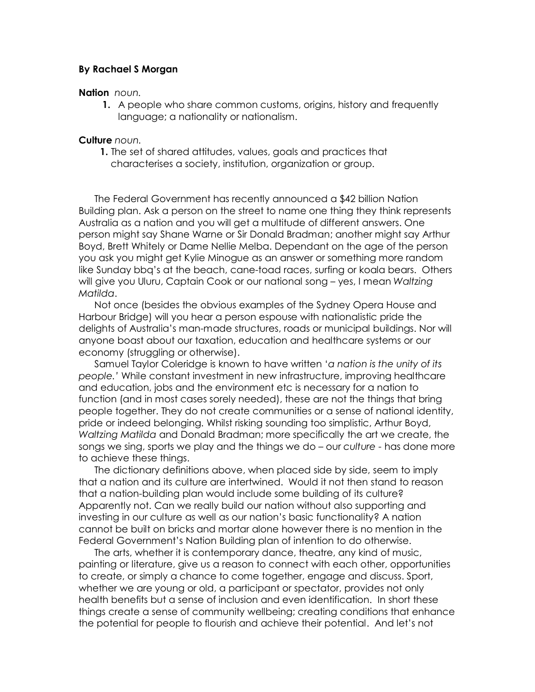## **By Rachael S Morgan**

## **Nation** *noun.*

**1.** A people who share common customs, origins, history and frequently language; a nationality or nationalism.

## **Culture** *noun.*

**1.** The set of shared attitudes, values, goals and practices that characterises a society, institution, organization or group.

The Federal Government has recently announced a \$42 billion Nation Building plan. Ask a person on the street to name one thing they think represents Australia as a nation and you will get a multitude of different answers. One person might say Shane Warne or Sir Donald Bradman; another might say Arthur Boyd, Brett Whitely or Dame Nellie Melba. Dependant on the age of the person you ask you might get Kylie Minogue as an answer or something more random like Sunday bbq's at the beach, cane-toad races, surfing or koala bears. Others will give you Uluru, Captain Cook or our national song – yes, I mean *Waltzing Matilda*.

Not once (besides the obvious examples of the Sydney Opera House and Harbour Bridge) will you hear a person espouse with nationalistic pride the delights of Australia's man-made structures, roads or municipal buildings. Nor will anyone boast about our taxation, education and healthcare systems or our economy (struggling or otherwise).

Samuel Taylor Coleridge is known to have written '*a nation is the unity of its people.'* While constant investment in new infrastructure, improving healthcare and education, jobs and the environment etc is necessary for a nation to function (and in most cases sorely needed), these are not the things that bring people together. They do not create communities or a sense of national identity, pride or indeed belonging. Whilst risking sounding too simplistic, Arthur Boyd, *Waltzing Matilda* and Donald Bradman; more specifically the art we create, the songs we sing, sports we play and the things we do – our *culture -* has done more to achieve these things.

The dictionary definitions above, when placed side by side, seem to imply that a nation and its culture are intertwined. Would it not then stand to reason that a nation-building plan would include some building of its culture? Apparently not. Can we really build our nation without also supporting and investing in our culture as well as our nation's basic functionality? A nation cannot be built on bricks and mortar alone however there is no mention in the Federal Government's Nation Building plan of intention to do otherwise.

The arts, whether it is contemporary dance, theatre, any kind of music, painting or literature, give us a reason to connect with each other, opportunities to create, or simply a chance to come together, engage and discuss. Sport, whether we are young or old, a participant or spectator, provides not only health benefits but a sense of inclusion and even identification. In short these things create a sense of community wellbeing; creating conditions that enhance the potential for people to flourish and achieve their potential. And let's not